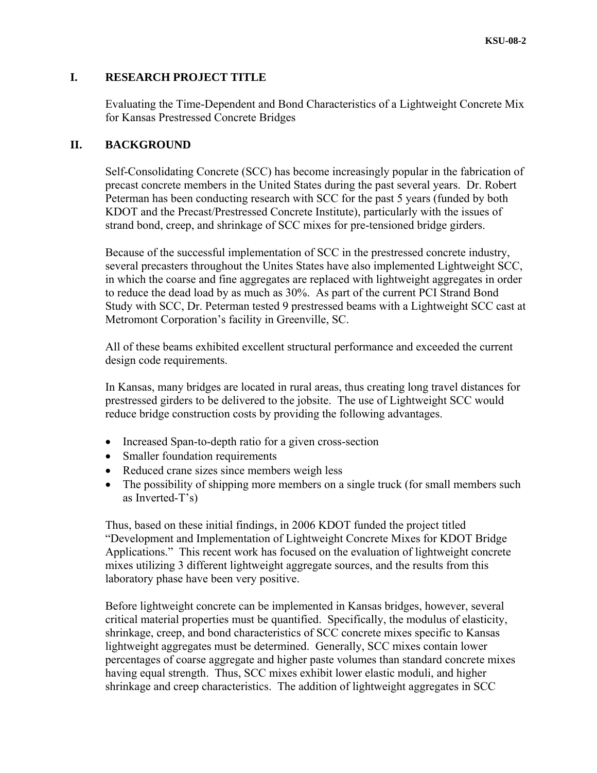# **I. RESEARCH PROJECT TITLE**

Evaluating the Time-Dependent and Bond Characteristics of a Lightweight Concrete Mix for Kansas Prestressed Concrete Bridges

# **II. BACKGROUND**

Self-Consolidating Concrete (SCC) has become increasingly popular in the fabrication of precast concrete members in the United States during the past several years. Dr. Robert Peterman has been conducting research with SCC for the past 5 years (funded by both KDOT and the Precast/Prestressed Concrete Institute), particularly with the issues of strand bond, creep, and shrinkage of SCC mixes for pre-tensioned bridge girders.

Because of the successful implementation of SCC in the prestressed concrete industry, several precasters throughout the Unites States have also implemented Lightweight SCC, in which the coarse and fine aggregates are replaced with lightweight aggregates in order to reduce the dead load by as much as 30%. As part of the current PCI Strand Bond Study with SCC, Dr. Peterman tested 9 prestressed beams with a Lightweight SCC cast at Metromont Corporation's facility in Greenville, SC.

All of these beams exhibited excellent structural performance and exceeded the current design code requirements.

In Kansas, many bridges are located in rural areas, thus creating long travel distances for prestressed girders to be delivered to the jobsite. The use of Lightweight SCC would reduce bridge construction costs by providing the following advantages.

- Increased Span-to-depth ratio for a given cross-section
- Smaller foundation requirements
- Reduced crane sizes since members weigh less
- The possibility of shipping more members on a single truck (for small members such as Inverted-T's)

Thus, based on these initial findings, in 2006 KDOT funded the project titled "Development and Implementation of Lightweight Concrete Mixes for KDOT Bridge Applications." This recent work has focused on the evaluation of lightweight concrete mixes utilizing 3 different lightweight aggregate sources, and the results from this laboratory phase have been very positive.

Before lightweight concrete can be implemented in Kansas bridges, however, several critical material properties must be quantified. Specifically, the modulus of elasticity, shrinkage, creep, and bond characteristics of SCC concrete mixes specific to Kansas lightweight aggregates must be determined. Generally, SCC mixes contain lower percentages of coarse aggregate and higher paste volumes than standard concrete mixes having equal strength. Thus, SCC mixes exhibit lower elastic moduli, and higher shrinkage and creep characteristics. The addition of lightweight aggregates in SCC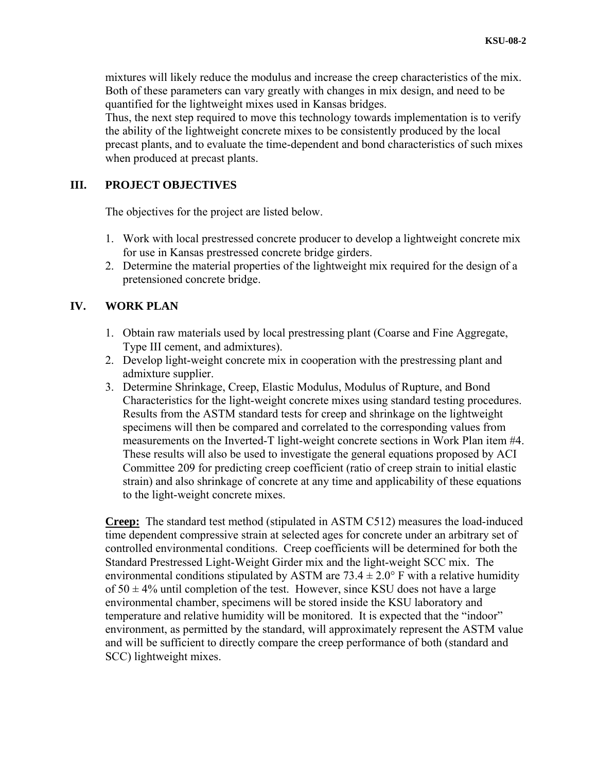mixtures will likely reduce the modulus and increase the creep characteristics of the mix. Both of these parameters can vary greatly with changes in mix design, and need to be quantified for the lightweight mixes used in Kansas bridges.

Thus, the next step required to move this technology towards implementation is to verify the ability of the lightweight concrete mixes to be consistently produced by the local precast plants, and to evaluate the time-dependent and bond characteristics of such mixes when produced at precast plants.

# **III. PROJECT OBJECTIVES**

The objectives for the project are listed below.

- 1. Work with local prestressed concrete producer to develop a lightweight concrete mix for use in Kansas prestressed concrete bridge girders.
- 2. Determine the material properties of the lightweight mix required for the design of a pretensioned concrete bridge.

# **IV. WORK PLAN**

- 1. Obtain raw materials used by local prestressing plant (Coarse and Fine Aggregate, Type III cement, and admixtures).
- 2. Develop light-weight concrete mix in cooperation with the prestressing plant and admixture supplier.
- 3. Determine Shrinkage, Creep, Elastic Modulus, Modulus of Rupture, and Bond Characteristics for the light-weight concrete mixes using standard testing procedures. Results from the ASTM standard tests for creep and shrinkage on the lightweight specimens will then be compared and correlated to the corresponding values from measurements on the Inverted-T light-weight concrete sections in Work Plan item #4. These results will also be used to investigate the general equations proposed by ACI Committee 209 for predicting creep coefficient (ratio of creep strain to initial elastic strain) and also shrinkage of concrete at any time and applicability of these equations to the light-weight concrete mixes.

**Creep:** The standard test method (stipulated in ASTM C512) measures the load-induced time dependent compressive strain at selected ages for concrete under an arbitrary set of controlled environmental conditions. Creep coefficients will be determined for both the Standard Prestressed Light-Weight Girder mix and the light-weight SCC mix. The environmental conditions stipulated by ASTM are  $73.4 \pm 2.0$ ° F with a relative humidity of  $50 \pm 4\%$  until completion of the test. However, since KSU does not have a large environmental chamber, specimens will be stored inside the KSU laboratory and temperature and relative humidity will be monitored. It is expected that the "indoor" environment, as permitted by the standard, will approximately represent the ASTM value and will be sufficient to directly compare the creep performance of both (standard and SCC) lightweight mixes.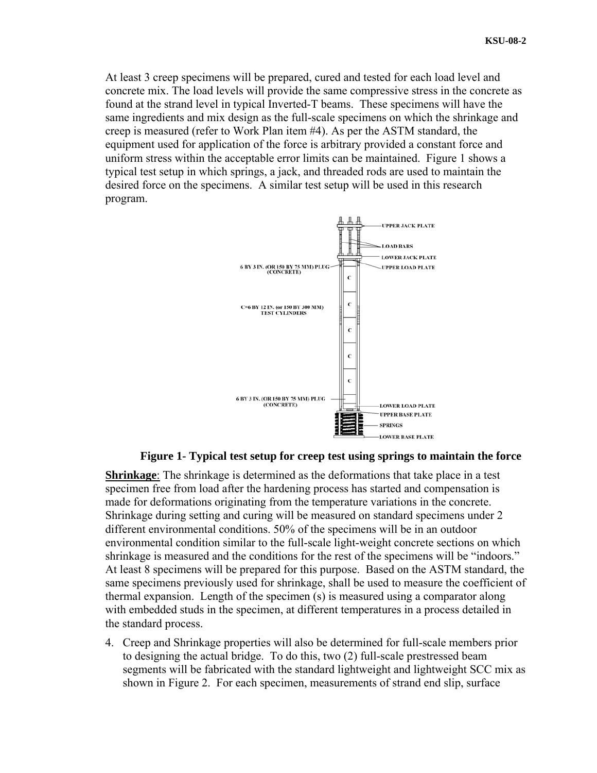At least 3 creep specimens will be prepared, cured and tested for each load level and concrete mix. The load levels will provide the same compressive stress in the concrete as found at the strand level in typical Inverted-T beams. These specimens will have the same ingredients and mix design as the full-scale specimens on which the shrinkage and creep is measured (refer to Work Plan item #4). As per the ASTM standard, the equipment used for application of the force is arbitrary provided a constant force and uniform stress within the acceptable error limits can be maintained. [Figure 1](#page-2-0) shows a typical test setup in which springs, a jack, and threaded rods are used to maintain the desired force on the specimens. A similar test setup will be used in this research program.



### **Figure 1- Typical test setup for creep test using springs to maintain the force**

<span id="page-2-0"></span>**Shrinkage**: The shrinkage is determined as the deformations that take place in a test specimen free from load after the hardening process has started and compensation is made for deformations originating from the temperature variations in the concrete. Shrinkage during setting and curing will be measured on standard specimens under 2 different environmental conditions. 50% of the specimens will be in an outdoor environmental condition similar to the full-scale light-weight concrete sections on which shrinkage is measured and the conditions for the rest of the specimens will be "indoors." At least 8 specimens will be prepared for this purpose. Based on the ASTM standard, the same specimens previously used for shrinkage, shall be used to measure the coefficient of thermal expansion. Length of the specimen (s) is measured using a comparator along with embedded studs in the specimen, at different temperatures in a process detailed in the standard process.

4. Creep and Shrinkage properties will also be determined for full-scale members prior to designing the actual bridge. To do this, two (2) full-scale prestressed beam segments will be fabricated with the standard lightweight and lightweight SCC mix as shown in [Figure 2](#page-3-0). For each specimen, measurements of strand end slip, surface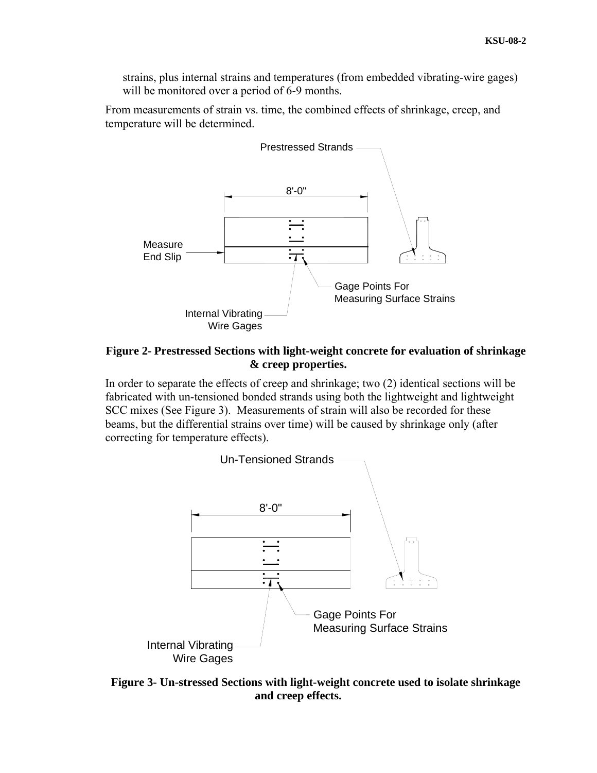strains, plus internal strains and temperatures (from embedded vibrating-wire gages) will be monitored over a period of 6-9 months.

From measurements of strain vs. time, the combined effects of shrinkage, creep, and temperature will be determined.



## <span id="page-3-0"></span>**Figure 2- Prestressed Sections with light-weight concrete for evaluation of shrinkage & creep properties.**

In order to separate the effects of creep and shrinkage; two (2) identical sections will be fabricated with un-tensioned bonded strands using both the lightweight and lightweight SCC mixes (See [Figure 3\)](#page-3-1). Measurements of strain will also be recorded for these beams, but the differential strains over time) will be caused by shrinkage only (after correcting for temperature effects).



<span id="page-3-1"></span>**Figure 3- Un-stressed Sections with light-weight concrete used to isolate shrinkage and creep effects.**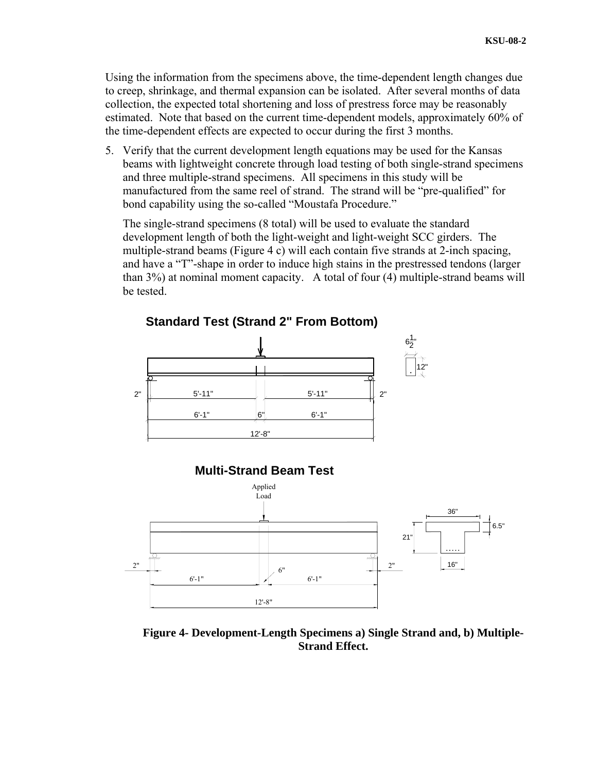Using the information from the specimens above, the time-dependent length changes due to creep, shrinkage, and thermal expansion can be isolated. After several months of data collection, the expected total shortening and loss of prestress force may be reasonably estimated. Note that based on the current time-dependent models, approximately 60% of the time-dependent effects are expected to occur during the first 3 months.

5. Verify that the current development length equations may be used for the Kansas beams with lightweight concrete through load testing of both single-strand specimens and three multiple-strand specimens. All specimens in this study will be manufactured from the same reel of strand. The strand will be "pre-qualified" for bond capability using the so-called "Moustafa Procedure."

The single-strand specimens (8 total) will be used to evaluate the standard development length of both the light-weight and light-weight SCC girders. The multiple-strand beams ([Figure 4](#page-4-0) c) will each contain five strands at 2-inch spacing, and have a "T"-shape in order to induce high stains in the prestressed tendons (larger than 3%) at nominal moment capacity. A total of four (4) multiple-strand beams will be tested.



<span id="page-4-0"></span>**Figure 4- Development-Length Specimens a) Single Strand and, b) Multiple-Strand Effect.**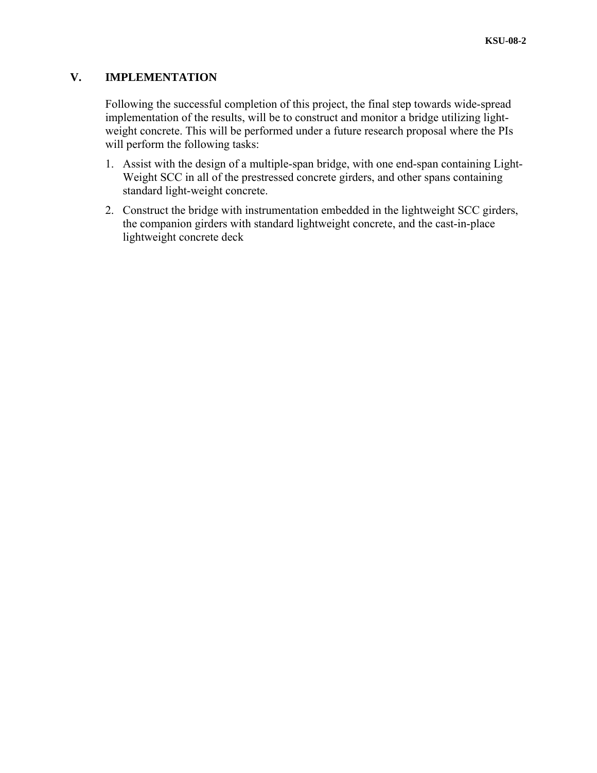# **V. IMPLEMENTATION**

Following the successful completion of this project, the final step towards wide-spread implementation of the results, will be to construct and monitor a bridge utilizing lightweight concrete. This will be performed under a future research proposal where the PIs will perform the following tasks:

- 1. Assist with the design of a multiple-span bridge, with one end-span containing Light-Weight SCC in all of the prestressed concrete girders, and other spans containing standard light-weight concrete.
- 2. Construct the bridge with instrumentation embedded in the lightweight SCC girders, the companion girders with standard lightweight concrete, and the cast-in-place lightweight concrete deck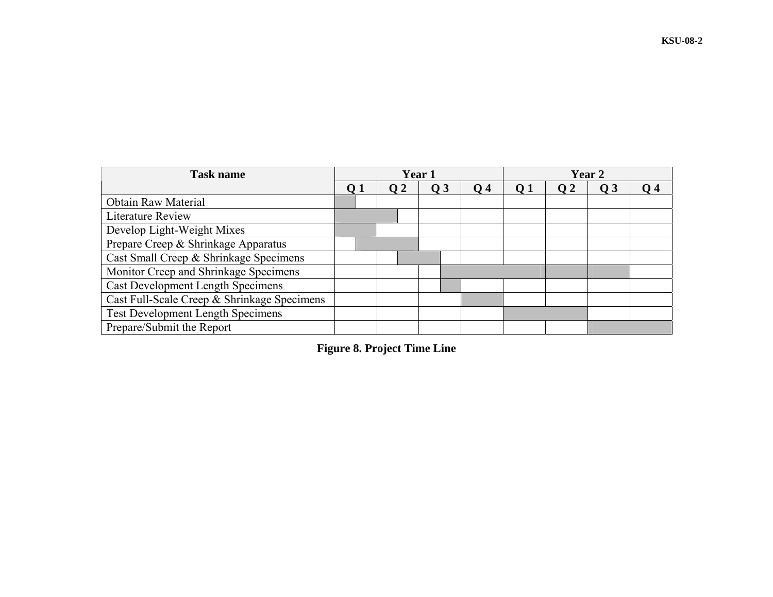| <b>Task name</b>                            | Year 1     |     |                |                  | Year 2     |                 |                |    |
|---------------------------------------------|------------|-----|----------------|------------------|------------|-----------------|----------------|----|
|                                             | $\Omega$ 1 | O 2 | Q <sub>3</sub> | $\overline{O}$ 4 | <b>O</b> 1 | $\overline{O}2$ | Q <sub>3</sub> | 04 |
| <b>Obtain Raw Material</b>                  |            |     |                |                  |            |                 |                |    |
| Literature Review                           |            |     |                |                  |            |                 |                |    |
| Develop Light-Weight Mixes                  |            |     |                |                  |            |                 |                |    |
| Prepare Creep & Shrinkage Apparatus         |            |     |                |                  |            |                 |                |    |
| Cast Small Creep & Shrinkage Specimens      |            |     |                |                  |            |                 |                |    |
| Monitor Creep and Shrinkage Specimens       |            |     |                |                  |            |                 |                |    |
| <b>Cast Development Length Specimens</b>    |            |     |                |                  |            |                 |                |    |
| Cast Full-Scale Creep & Shrinkage Specimens |            |     |                |                  |            |                 |                |    |
| <b>Test Development Length Specimens</b>    |            |     |                |                  |            |                 |                |    |
| Prepare/Submit the Report                   |            |     |                |                  |            |                 |                |    |

**Figure 8. Project Time Line**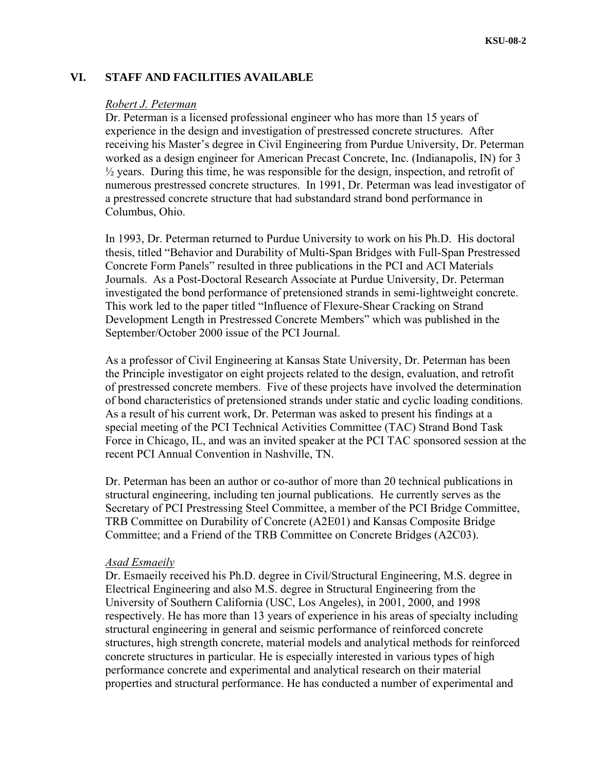## **VI. STAFF AND FACILITIES AVAILABLE**

#### *Robert J. Peterman*

Dr. Peterman is a licensed professional engineer who has more than 15 years of experience in the design and investigation of prestressed concrete structures. After receiving his Master's degree in Civil Engineering from Purdue University, Dr. Peterman worked as a design engineer for American Precast Concrete, Inc. (Indianapolis, IN) for 3  $\frac{1}{2}$  years. During this time, he was responsible for the design, inspection, and retrofit of numerous prestressed concrete structures. In 1991, Dr. Peterman was lead investigator of a prestressed concrete structure that had substandard strand bond performance in Columbus, Ohio.

In 1993, Dr. Peterman returned to Purdue University to work on his Ph.D. His doctoral thesis, titled "Behavior and Durability of Multi-Span Bridges with Full-Span Prestressed Concrete Form Panels" resulted in three publications in the PCI and ACI Materials Journals. As a Post-Doctoral Research Associate at Purdue University, Dr. Peterman investigated the bond performance of pretensioned strands in semi-lightweight concrete. This work led to the paper titled "Influence of Flexure-Shear Cracking on Strand Development Length in Prestressed Concrete Members" which was published in the September/October 2000 issue of the PCI Journal.

As a professor of Civil Engineering at Kansas State University, Dr. Peterman has been the Principle investigator on eight projects related to the design, evaluation, and retrofit of prestressed concrete members. Five of these projects have involved the determination of bond characteristics of pretensioned strands under static and cyclic loading conditions. As a result of his current work, Dr. Peterman was asked to present his findings at a special meeting of the PCI Technical Activities Committee (TAC) Strand Bond Task Force in Chicago, IL, and was an invited speaker at the PCI TAC sponsored session at the recent PCI Annual Convention in Nashville, TN.

Dr. Peterman has been an author or co-author of more than 20 technical publications in structural engineering, including ten journal publications. He currently serves as the Secretary of PCI Prestressing Steel Committee, a member of the PCI Bridge Committee, TRB Committee on Durability of Concrete (A2E01) and Kansas Composite Bridge Committee; and a Friend of the TRB Committee on Concrete Bridges (A2C03).

#### *Asad Esmaeily*

Dr. Esmaeily received his Ph.D. degree in Civil/Structural Engineering, M.S. degree in Electrical Engineering and also M.S. degree in Structural Engineering from the University of Southern California (USC, Los Angeles), in 2001, 2000, and 1998 respectively. He has more than 13 years of experience in his areas of specialty including structural engineering in general and seismic performance of reinforced concrete structures, high strength concrete, material models and analytical methods for reinforced concrete structures in particular. He is especially interested in various types of high performance concrete and experimental and analytical research on their material properties and structural performance. He has conducted a number of experimental and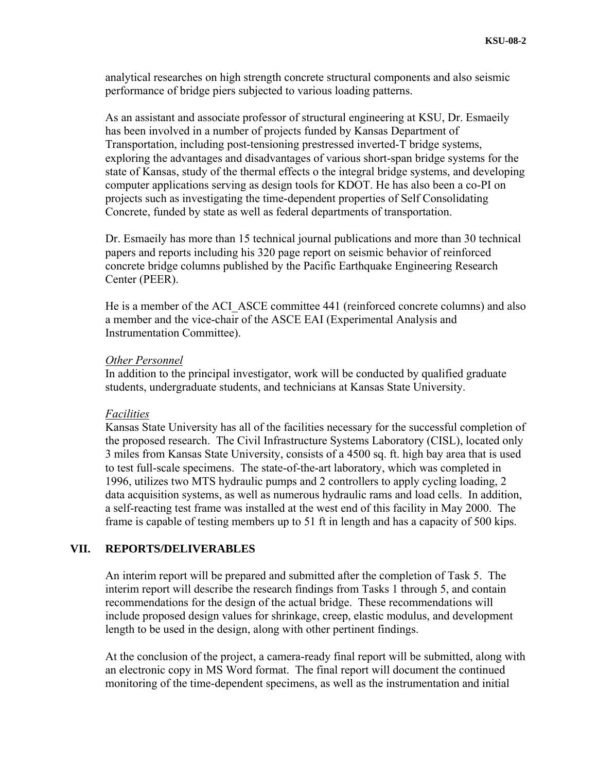analytical researches on high strength concrete structural components and also seismic performance of bridge piers subjected to various loading patterns.

As an assistant and associate professor of structural engineering at KSU, Dr. Esmaeily has been involved in a number of projects funded by Kansas Department of Transportation, including post-tensioning prestressed inverted-T bridge systems, exploring the advantages and disadvantages of various short-span bridge systems for the state of Kansas, study of the thermal effects o the integral bridge systems, and developing computer applications serving as design tools for KDOT. He has also been a co-PI on projects such as investigating the time-dependent properties of Self Consolidating Concrete, funded by state as well as federal departments of transportation.

Dr. Esmaeily has more than 15 technical journal publications and more than 30 technical papers and reports including his 320 page report on seismic behavior of reinforced concrete bridge columns published by the Pacific Earthquake Engineering Research Center (PEER).

He is a member of the ACI\_ASCE committee 441 (reinforced concrete columns) and also a member and the vice-chair of the ASCE EAI (Experimental Analysis and Instrumentation Committee).

### *Other Personnel*

In addition to the principal investigator, work will be conducted by qualified graduate students, undergraduate students, and technicians at Kansas State University.

#### *Facilities*

Kansas State University has all of the facilities necessary for the successful completion of the proposed research. The Civil Infrastructure Systems Laboratory (CISL), located only 3 miles from Kansas State University, consists of a 4500 sq. ft. high bay area that is used to test full-scale specimens. The state-of-the-art laboratory, which was completed in 1996, utilizes two MTS hydraulic pumps and 2 controllers to apply cycling loading, 2 data acquisition systems, as well as numerous hydraulic rams and load cells. In addition, a self-reacting test frame was installed at the west end of this facility in May 2000. The frame is capable of testing members up to 51 ft in length and has a capacity of 500 kips.

## **VII. REPORTS/DELIVERABLES**

An interim report will be prepared and submitted after the completion of Task 5. The interim report will describe the research findings from Tasks 1 through 5, and contain recommendations for the design of the actual bridge. These recommendations will include proposed design values for shrinkage, creep, elastic modulus, and development length to be used in the design, along with other pertinent findings.

At the conclusion of the project, a camera-ready final report will be submitted, along with an electronic copy in MS Word format. The final report will document the continued monitoring of the time-dependent specimens, as well as the instrumentation and initial